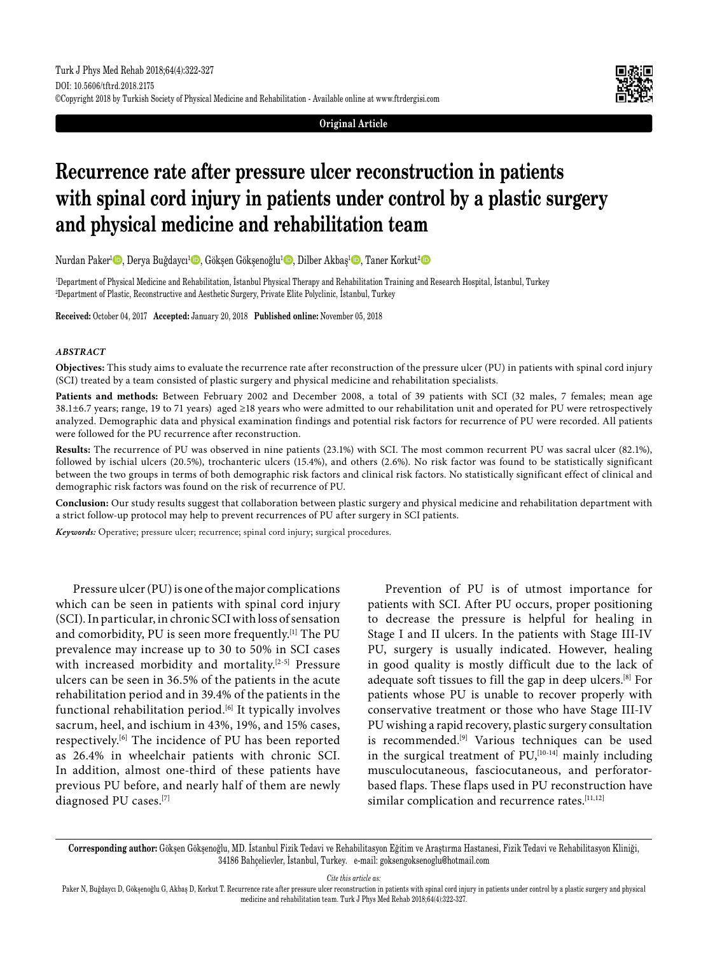



# **Recurrence rate after pressure ulcer reconstruction in patients with spinal cord injury in patients under control by a plastic surgery and physical medicine and rehabilitation team**

Nurdan Paker<sup>ı</sup> D, Derya Buğdaycı<sup>ı</sup> D, Gökşen Gökşenoğlu<sup>1</sup> D, Dilber Akbaş<sup>ı</sup> D, Taner Korkut<sup>2</sup> D

1 Department of Physical Medicine and Rehabilitation, İstanbul Physical Therapy and Rehabilitation Training and Research Hospital, İstanbul, Turkey 2 Department of Plastic, Reconstructive and Aesthetic Surgery, Private Elite Polyclinic, İstanbul, Turkey

**Received:** October 04, 2017 **Accepted:** January 20, 2018 **Published online:** November 05, 2018

#### *ABSTRACT*

**Objectives:** This study aims to evaluate the recurrence rate after reconstruction of the pressure ulcer (PU) in patients with spinal cord injury (SCI) treated by a team consisted of plastic surgery and physical medicine and rehabilitation specialists.

**Patients and methods:** Between February 2002 and December 2008, a total of 39 patients with SCI (32 males, 7 females; mean age 38.1±6.7 years; range, 19 to 71 years) aged ≥18 years who were admitted to our rehabilitation unit and operated for PU were retrospectively analyzed. Demographic data and physical examination findings and potential risk factors for recurrence of PU were recorded. All patients were followed for the PU recurrence after reconstruction.

**Results:** The recurrence of PU was observed in nine patients (23.1%) with SCI. The most common recurrent PU was sacral ulcer (82.1%), followed by ischial ulcers (20.5%), trochanteric ulcers (15.4%), and others (2.6%). No risk factor was found to be statistically significant between the two groups in terms of both demographic risk factors and clinical risk factors. No statistically significant effect of clinical and demographic risk factors was found on the risk of recurrence of PU.

**Conclusion:** Our study results suggest that collaboration between plastic surgery and physical medicine and rehabilitation department with a strict follow-up protocol may help to prevent recurrences of PU after surgery in SCI patients.

*Keywords:* Operative; pressure ulcer; recurrence; spinal cord injury; surgical procedures.

Pressure ulcer (PU) is one of the major complications which can be seen in patients with spinal cord injury (SCI). In particular, in chronic SCI with loss of sensation and comorbidity, PU is seen more frequently.<sup>[1]</sup> The PU prevalence may increase up to 30 to 50% in SCI cases with increased morbidity and mortality.[2-5] Pressure ulcers can be seen in 36.5% of the patients in the acute rehabilitation period and in 39.4% of the patients in the functional rehabilitation period.<sup>[6]</sup> It typically involves sacrum, heel, and ischium in 43%, 19%, and 15% cases, respectively.[6] The incidence of PU has been reported as 26.4% in wheelchair patients with chronic SCI. In addition, almost one-third of these patients have previous PU before, and nearly half of them are newly diagnosed PU cases.[7]

Prevention of PU is of utmost importance for patients with SCI. After PU occurs, proper positioning to decrease the pressure is helpful for healing in Stage I and II ulcers. In the patients with Stage III-IV PU, surgery is usually indicated. However, healing in good quality is mostly difficult due to the lack of adequate soft tissues to fill the gap in deep ulcers.[8] For patients whose PU is unable to recover properly with conservative treatment or those who have Stage III-IV PU wishing a rapid recovery, plastic surgery consultation is recommended.<sup>[9]</sup> Various techniques can be used in the surgical treatment of  $PU<sub>2</sub>$ <sup>[10-14]</sup> mainly including musculocutaneous, fasciocutaneous, and perforatorbased flaps. These flaps used in PU reconstruction have similar complication and recurrence rates.<sup>[11,12]</sup>

*Cite this article as:*

**Corresponding author:** Gökşen Gökşenoğlu, MD. İstanbul Fizik Tedavi ve Rehabilitasyon Eğitim ve Araştırma Hastanesi, Fizik Tedavi ve Rehabilitasyon Kliniği, 34186 Bahçelievler, İstanbul, Turkey. e-mail: goksengoksenoglu@hotmail.com

Paker N, Buğdaycı D, Gökşenoğlu G, Akbaş D, Korkut T. Recurrence rate after pressure ulcer reconstruction in patients with spinal cord injury in patients under control by a plastic surgery and physical medicine and rehabilitation team. Turk J Phys Med Rehab 2018;64(4):322-327.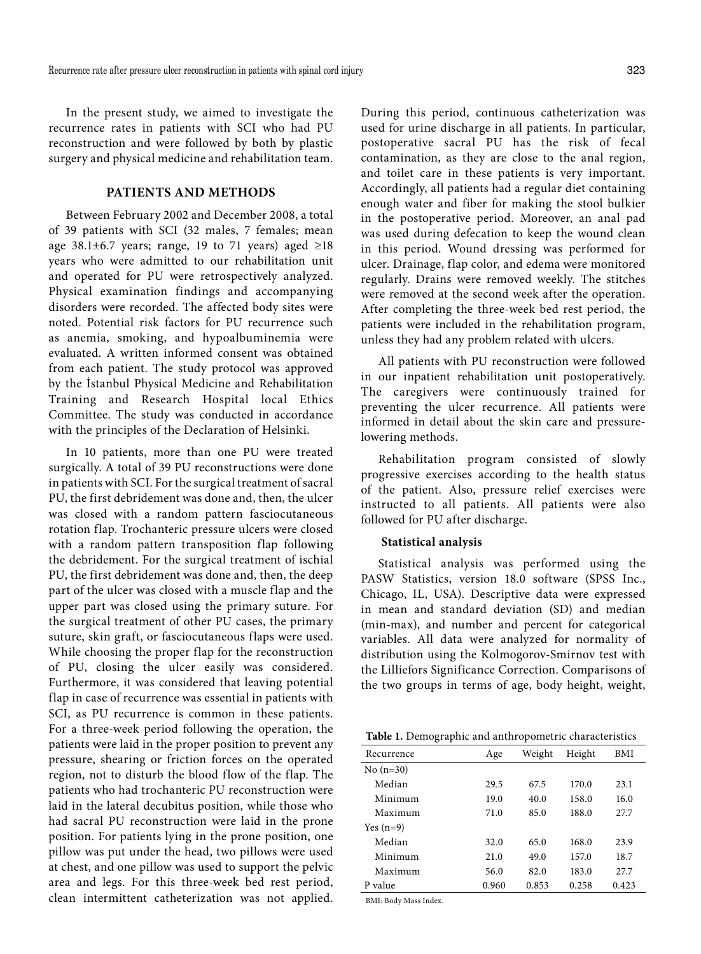In the present study, we aimed to investigate the recurrence rates in patients with SCI who had PU reconstruction and were followed by both by plastic surgery and physical medicine and rehabilitation team.

## **PATIENTS AND METHODS**

Between February 2002 and December 2008, a total of 39 patients with SCI (32 males, 7 females; mean age 38.1±6.7 years; range, 19 to 71 years) aged  $\geq$ 18 years who were admitted to our rehabilitation unit and operated for PU were retrospectively analyzed. Physical examination findings and accompanying disorders were recorded. The affected body sites were noted. Potential risk factors for PU recurrence such as anemia, smoking, and hypoalbuminemia were evaluated. A written informed consent was obtained from each patient. The study protocol was approved by the İstanbul Physical Medicine and Rehabilitation Training and Research Hospital local Ethics Committee. The study was conducted in accordance with the principles of the Declaration of Helsinki.

In 10 patients, more than one PU were treated surgically. A total of 39 PU reconstructions were done in patients with SCI. For the surgical treatment of sacral PU, the first debridement was done and, then, the ulcer was closed with a random pattern fasciocutaneous rotation flap. Trochanteric pressure ulcers were closed with a random pattern transposition flap following the debridement. For the surgical treatment of ischial PU, the first debridement was done and, then, the deep part of the ulcer was closed with a muscle flap and the upper part was closed using the primary suture. For the surgical treatment of other PU cases, the primary suture, skin graft, or fasciocutaneous flaps were used. While choosing the proper flap for the reconstruction of PU, closing the ulcer easily was considered. Furthermore, it was considered that leaving potential flap in case of recurrence was essential in patients with SCI, as PU recurrence is common in these patients. For a three-week period following the operation, the patients were laid in the proper position to prevent any pressure, shearing or friction forces on the operated region, not to disturb the blood flow of the flap. The patients who had trochanteric PU reconstruction were laid in the lateral decubitus position, while those who had sacral PU reconstruction were laid in the prone position. For patients lying in the prone position, one pillow was put under the head, two pillows were used at chest, and one pillow was used to support the pelvic area and legs. For this three-week bed rest period, clean intermittent catheterization was not applied.

During this period, continuous catheterization was used for urine discharge in all patients. In particular, postoperative sacral PU has the risk of fecal contamination, as they are close to the anal region, and toilet care in these patients is very important. Accordingly, all patients had a regular diet containing enough water and fiber for making the stool bulkier in the postoperative period. Moreover, an anal pad was used during defecation to keep the wound clean in this period. Wound dressing was performed for ulcer. Drainage, flap color, and edema were monitored regularly. Drains were removed weekly. The stitches were removed at the second week after the operation. After completing the three-week bed rest period, the patients were included in the rehabilitation program, unless they had any problem related with ulcers.

All patients with PU reconstruction were followed in our inpatient rehabilitation unit postoperatively. The caregivers were continuously trained for preventing the ulcer recurrence. All patients were informed in detail about the skin care and pressurelowering methods.

Rehabilitation program consisted of slowly progressive exercises according to the health status of the patient. Also, pressure relief exercises were instructed to all patients. All patients were also followed for PU after discharge.

#### **Statistical analysis**

Statistical analysis was performed using the PASW Statistics, version 18.0 software (SPSS Inc., Chicago, IL, USA). Descriptive data were expressed in mean and standard deviation (SD) and median (min-max), and number and percent for categorical variables. All data were analyzed for normality of distribution using the Kolmogorov-Smirnov test with the Lilliefors Significance Correction. Comparisons of the two groups in terms of age, body height, weight,

| Recurrence  | Age   | Weight | Height | BMI   |
|-------------|-------|--------|--------|-------|
| No $(n=30)$ |       |        |        |       |
| Median      | 29.5  | 67.5   | 170.0  | 23.1  |
| Minimum     | 19.0  | 40.0   | 158.0  | 16.0  |
| Maximum     | 71.0  | 85.0   | 188.0  | 27.7  |
| Yes $(n=9)$ |       |        |        |       |
| Median      | 32.0  | 65.0   | 168.0  | 23.9  |
| Minimum     | 21.0  | 49.0   | 157.0  | 18.7  |
| Maximum     | 56.0  | 82.0   | 183.0  | 27.7  |
| P value     | 0.960 | 0.853  | 0.258  | 0.423 |

BMI: Body Mass Index.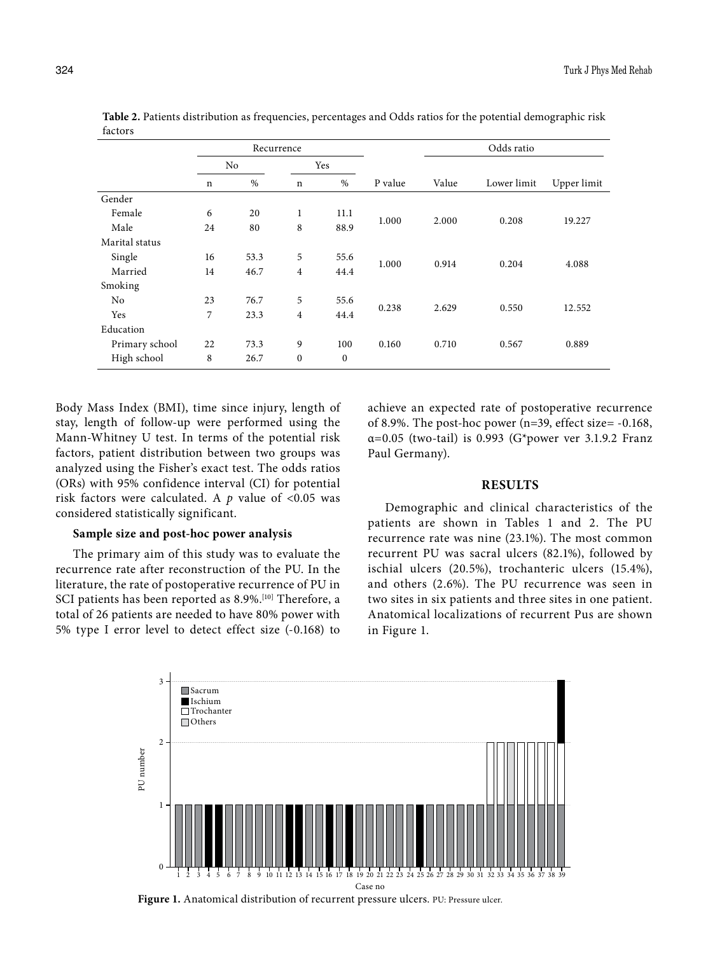|                | Recurrence  |      |                |                  |         | Odds ratio |             |             |
|----------------|-------------|------|----------------|------------------|---------|------------|-------------|-------------|
|                | No          |      | Yes            |                  |         |            |             |             |
|                | $\mathbf n$ | $\%$ | $\mathbf n$    | $\%$             | P value | Value      | Lower limit | Upper limit |
| Gender         |             |      |                |                  |         |            |             |             |
| Female         | 6           | 20   | 1              | 11.1             | 1.000   | 2.000      | 0.208       | 19.227      |
| Male           | 24          | 80   | 8              | 88.9             |         |            |             |             |
| Marital status |             |      |                |                  |         |            |             |             |
| Single         | 16          | 53.3 | 5              | 55.6             | 1.000   | 0.914      | 0.204       | 4.088       |
| Married        | 14          | 46.7 | $\overline{4}$ | 44.4             |         |            |             |             |
| Smoking        |             |      |                |                  |         |            |             |             |
| N <sub>o</sub> | 23          | 76.7 | 5              | 55.6             | 0.238   | 2.629      | 0.550       | 12.552      |
| Yes            | 7           | 23.3 | $\overline{4}$ | 44.4             |         |            |             |             |
| Education      |             |      |                |                  |         |            |             |             |
| Primary school | 22          | 73.3 | 9              | 100              | 0.160   | 0.710      | 0.567       | 0.889       |
| High school    | 8           | 26.7 | $\mathbf{0}$   | $\boldsymbol{0}$ |         |            |             |             |

**Table 2.** Patients distribution as frequencies, percentages and Odds ratios for the potential demographic risk factors

Body Mass Index (BMI), time since injury, length of stay, length of follow-up were performed using the Mann-Whitney U test. In terms of the potential risk factors, patient distribution between two groups was analyzed using the Fisher's exact test. The odds ratios (ORs) with 95% confidence interval (CI) for potential risk factors were calculated. A  $p$  value of <0.05 was considered statistically significant.

### **Sample size and post-hoc power analysis**

The primary aim of this study was to evaluate the recurrence rate after reconstruction of the PU. In the literature, the rate of postoperative recurrence of PU in SCI patients has been reported as 8.9%.<sup>[10]</sup> Therefore, a total of 26 patients are needed to have 80% power with 5% type I error level to detect effect size (-0.168) to achieve an expected rate of postoperative recurrence of 8.9%. The post-hoc power (n=39, effect size= -0.168,  $\alpha$ =0.05 (two-tail) is 0.993 (G\*power ver 3.1.9.2 Franz Paul Germany).

## **RESULTS**

Demographic and clinical characteristics of the patients are shown in Tables 1 and 2. The PU recurrence rate was nine (23.1%). The most common recurrent PU was sacral ulcers (82.1%), followed by ischial ulcers (20.5%), trochanteric ulcers (15.4%), and others (2.6%). The PU recurrence was seen in two sites in six patients and three sites in one patient. Anatomical localizations of recurrent Pus are shown in Figure 1.



Figure 1. Anatomical distribution of recurrent pressure ulcers. PU: Pressure ulcer.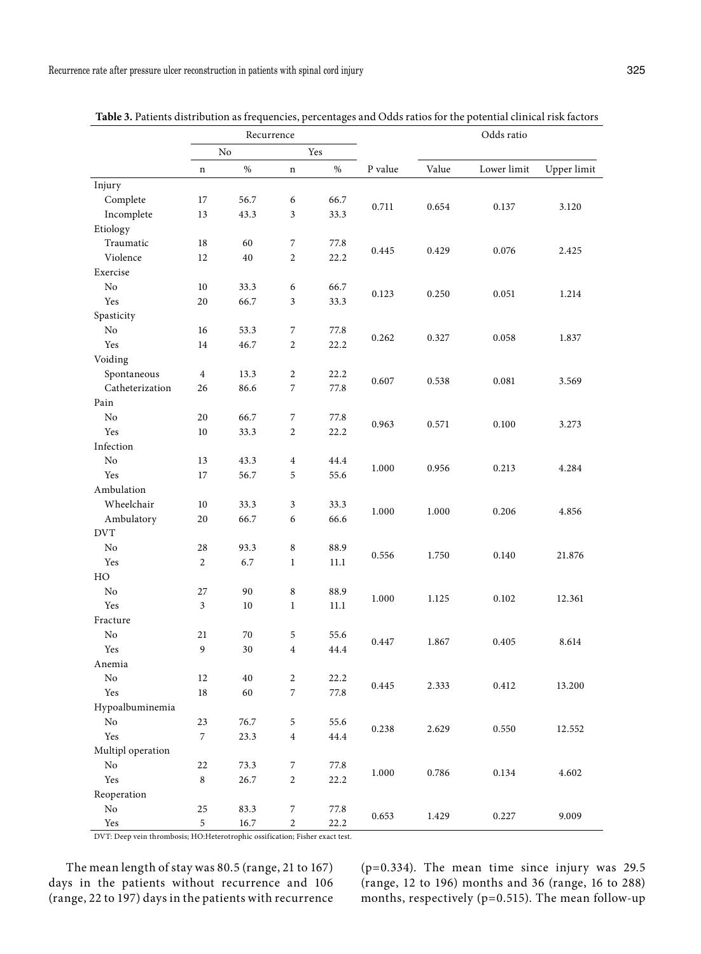|                      | Recurrence     |      |                         |      | Odds ratio |       |             |             |
|----------------------|----------------|------|-------------------------|------|------------|-------|-------------|-------------|
|                      | No             |      | Yes                     |      |            |       |             |             |
|                      | n              | $\%$ | $\mathbf n$             | $\%$ | P value    | Value | Lower limit | Upper limit |
| Injury               |                |      |                         |      |            |       |             |             |
| Complete             | 17             | 56.7 | 6                       | 66.7 |            | 0.654 | 0.137       | 3.120       |
| Incomplete           | 13             | 43.3 | 3                       | 33.3 | 0.711      |       |             |             |
| Etiology             |                |      |                         |      |            |       |             |             |
| Traumatic            | 18             | 60   | $\sqrt{2}$              | 77.8 |            | 0.429 | 0.076       | 2.425       |
| Violence             | 12             | 40   | $\overline{c}$          | 22.2 | 0.445      |       |             |             |
| Exercise             |                |      |                         |      |            |       |             |             |
| No                   | 10             | 33.3 | 6                       | 66.7 |            | 0.250 | 0.051       | 1.214       |
| Yes                  | 20             | 66.7 | 3                       | 33.3 | 0.123      |       |             |             |
| Spasticity           |                |      |                         |      |            |       |             |             |
| No                   | 16             | 53.3 | 7                       | 77.8 |            | 0.327 | 0.058       | 1.837       |
| Yes                  | 14             | 46.7 | $\overline{2}$          | 22.2 | 0.262      |       |             |             |
| Voiding              |                |      |                         |      |            |       |             |             |
| Spontaneous          | $\overline{4}$ | 13.3 | 2                       | 22.2 |            | 0.538 | 0.081       | 3.569       |
| Catheterization      | 26             | 86.6 | 7                       | 77.8 | 0.607      |       |             |             |
| Pain                 |                |      |                         |      |            |       |             |             |
| No                   | 20             | 66.7 | $\sqrt{2}$              | 77.8 |            | 0.571 | 0.100       | 3.273       |
| Yes                  | $10\,$         | 33.3 | $\overline{2}$          | 22.2 | 0.963      |       |             |             |
| Infection            |                |      |                         |      |            |       |             |             |
| $\rm No$             | 13             | 43.3 | $\overline{4}$          | 44.4 |            | 0.956 | 0.213       | 4.284       |
| Yes                  | 17             | 56.7 | 5                       | 55.6 | 1.000      |       |             |             |
| Ambulation           |                |      |                         |      |            |       |             |             |
| Wheelchair           | 10             | 33.3 | 3                       | 33.3 |            | 1.000 | 0.206       | 4.856       |
| Ambulatory           | 20             | 66.7 | 6                       | 66.6 | 1.000      |       |             |             |
| <b>DVT</b>           |                |      |                         |      |            |       |             |             |
| No                   | 28             | 93.3 | $\,8\,$                 | 88.9 |            | 1.750 | 0.140       | 21.876      |
| Yes                  | $\overline{c}$ | 6.7  | $\mathbf{1}$            | 11.1 | 0.556      |       |             |             |
| HO                   |                |      |                         |      |            |       |             |             |
| No                   | 27             | 90   | 8                       | 88.9 |            | 1.125 | 0.102       | 12.361      |
| Yes                  | $\mathfrak{Z}$ | 10   | $\mathbf{1}$            | 11.1 | 1.000      |       |             |             |
| Fracture             |                |      |                         |      |            |       |             |             |
| N <sub>o</sub>       | 21             | 70   | 5                       | 55.6 | 0.447      | 1.867 | 0.405       | 8.614       |
| Yes                  | 9              | 30   | $\overline{4}$          | 44.4 |            |       |             |             |
| Anemia               |                |      |                         |      |            |       |             |             |
| No                   | 12             | 40   | $\overline{c}$          | 22.2 |            |       |             |             |
| Yes                  | 18             | 60   | $\boldsymbol{7}$        | 77.8 | 0.445      | 2.333 | 0.412       | 13.200      |
| Hypoalbuminemia      |                |      |                         |      |            |       |             |             |
| $\rm No$             | 23             | 76.7 | 5                       | 55.6 |            | 2.629 | 0.550       | 12.552      |
| Yes                  | $\overline{7}$ | 23.3 | $\overline{\mathbf{4}}$ | 44.4 | 0.238      |       |             |             |
| Multipl operation    |                |      |                         |      |            |       |             |             |
| No                   | 22             | 73.3 | $\overline{7}$          | 77.8 |            |       |             |             |
| Yes                  | $\,8\,$        | 26.7 | $\overline{c}$          | 22.2 | 1.000      | 0.786 | 0.134       | 4.602       |
| Reoperation          |                |      |                         |      |            |       |             |             |
| No                   | 25             | 83.3 | $\overline{7}$          | 77.8 |            |       |             | 9.009       |
| $\operatorname{Yes}$ | 5              | 16.7 | $\overline{c}$          | 22.2 | 0.653      | 1.429 | 0.227       |             |

**Table 3.** Patients distribution as frequencies, percentages and Odds ratios for the potential clinical risk factors

DVT: Deep vein thrombosis; HO:Heterotrophic ossification; Fisher exact test.

The mean length of stay was 80.5 (range, 21 to 167) days in the patients without recurrence and 106 (range, 22 to 197) days in the patients with recurrence

(p=0.334). The mean time since injury was 29.5 (range, 12 to 196) months and 36 (range, 16 to 288) months, respectively (p=0.515). The mean follow-up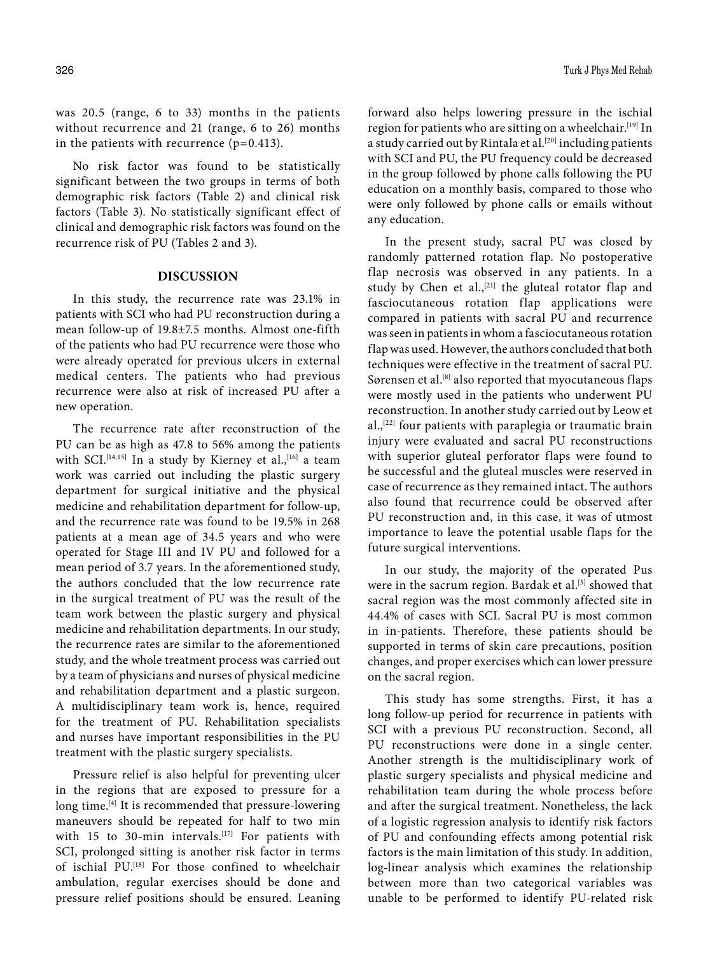No risk factor was found to be statistically significant between the two groups in terms of both demographic risk factors (Table 2) and clinical risk factors (Table 3). No statistically significant effect of clinical and demographic risk factors was found on the recurrence risk of PU (Tables 2 and 3).

## **DISCUSSION**

In this study, the recurrence rate was 23.1% in patients with SCI who had PU reconstruction during a mean follow-up of 19.8±7.5 months. Almost one-fifth of the patients who had PU recurrence were those who were already operated for previous ulcers in external medical centers. The patients who had previous recurrence were also at risk of increased PU after a new operation.

The recurrence rate after reconstruction of the PU can be as high as 47.8 to 56% among the patients with SCI.<sup>[14,15]</sup> In a study by Kierney et al.,<sup>[16]</sup> a team work was carried out including the plastic surgery department for surgical initiative and the physical medicine and rehabilitation department for follow-up, and the recurrence rate was found to be 19.5% in 268 patients at a mean age of 34.5 years and who were operated for Stage III and IV PU and followed for a mean period of 3.7 years. In the aforementioned study, the authors concluded that the low recurrence rate in the surgical treatment of PU was the result of the team work between the plastic surgery and physical medicine and rehabilitation departments. In our study, the recurrence rates are similar to the aforementioned study, and the whole treatment process was carried out by a team of physicians and nurses of physical medicine and rehabilitation department and a plastic surgeon. A multidisciplinary team work is, hence, required for the treatment of PU. Rehabilitation specialists and nurses have important responsibilities in the PU treatment with the plastic surgery specialists.

Pressure relief is also helpful for preventing ulcer in the regions that are exposed to pressure for a long time.<sup>[4]</sup> It is recommended that pressure-lowering maneuvers should be repeated for half to two min with 15 to 30-min intervals.<sup>[17]</sup> For patients with SCI, prolonged sitting is another risk factor in terms of ischial PU.[18] For those confined to wheelchair ambulation, regular exercises should be done and pressure relief positions should be ensured. Leaning forward also helps lowering pressure in the ischial region for patients who are sitting on a wheelchair.<sup>[19]</sup> In a study carried out by Rintala et al.<sup>[20]</sup> including patients with SCI and PU, the PU frequency could be decreased in the group followed by phone calls following the PU education on a monthly basis, compared to those who were only followed by phone calls or emails without any education.

In the present study, sacral PU was closed by randomly patterned rotation flap. No postoperative flap necrosis was observed in any patients. In a study by Chen et al.,<sup>[21]</sup> the gluteal rotator flap and fasciocutaneous rotation flap applications were compared in patients with sacral PU and recurrence was seen in patients in whom a fasciocutaneous rotation flap was used. However, the authors concluded that both techniques were effective in the treatment of sacral PU. Sørensen et al.<sup>[8]</sup> also reported that myocutaneous flaps were mostly used in the patients who underwent PU reconstruction. In another study carried out by Leow et al.,[22] four patients with paraplegia or traumatic brain injury were evaluated and sacral PU reconstructions with superior gluteal perforator flaps were found to be successful and the gluteal muscles were reserved in case of recurrence as they remained intact. The authors also found that recurrence could be observed after PU reconstruction and, in this case, it was of utmost importance to leave the potential usable flaps for the future surgical interventions.

In our study, the majority of the operated Pus were in the sacrum region. Bardak et al.<sup>[5]</sup> showed that sacral region was the most commonly affected site in 44.4% of cases with SCI. Sacral PU is most common in in-patients. Therefore, these patients should be supported in terms of skin care precautions, position changes, and proper exercises which can lower pressure on the sacral region.

This study has some strengths. First, it has a long follow-up period for recurrence in patients with SCI with a previous PU reconstruction. Second, all PU reconstructions were done in a single center. Another strength is the multidisciplinary work of plastic surgery specialists and physical medicine and rehabilitation team during the whole process before and after the surgical treatment. Nonetheless, the lack of a logistic regression analysis to identify risk factors of PU and confounding effects among potential risk factors is the main limitation of this study. In addition, log-linear analysis which examines the relationship between more than two categorical variables was unable to be performed to identify PU-related risk